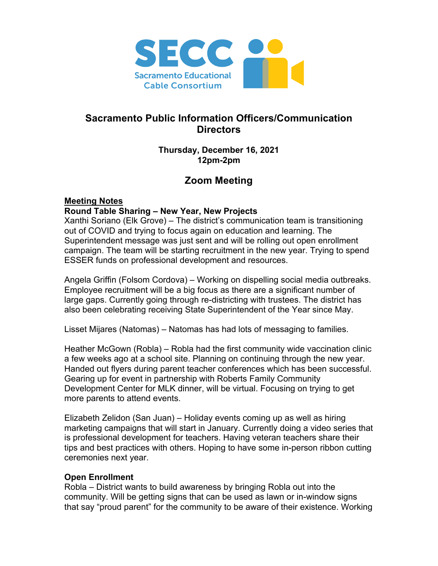

# **Sacramento Public Information Officers/Communication Directors**

#### **Thursday, December 16, 2021 12pm-2pm**

# **Zoom Meeting**

# **Meeting Notes**

#### **Round Table Sharing – New Year, New Projects**

Xanthi Soriano (Elk Grove) – The district's communication team is transitioning out of COVID and trying to focus again on education and learning. The Superintendent message was just sent and will be rolling out open enrollment campaign. The team will be starting recruitment in the new year. Trying to spend ESSER funds on professional development and resources.

Angela Griffin (Folsom Cordova) – Working on dispelling social media outbreaks. Employee recruitment will be a big focus as there are a significant number of large gaps. Currently going through re-districting with trustees. The district has also been celebrating receiving State Superintendent of the Year since May.

Lisset Mijares (Natomas) – Natomas has had lots of messaging to families.

Heather McGown (Robla) – Robla had the first community wide vaccination clinic a few weeks ago at a school site. Planning on continuing through the new year. Handed out flyers during parent teacher conferences which has been successful. Gearing up for event in partnership with Roberts Family Community Development Center for MLK dinner, will be virtual. Focusing on trying to get more parents to attend events.

Elizabeth Zelidon (San Juan) – Holiday events coming up as well as hiring marketing campaigns that will start in January. Currently doing a video series that is professional development for teachers. Having veteran teachers share their tips and best practices with others. Hoping to have some in-person ribbon cutting ceremonies next year.

# **Open Enrollment**

Robla – District wants to build awareness by bringing Robla out into the community. Will be getting signs that can be used as lawn or in-window signs that say "proud parent" for the community to be aware of their existence. Working